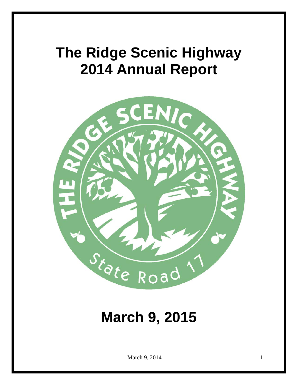# **The Ridge Scenic Highway 2014 Annual Report**



## **March 9, 2015**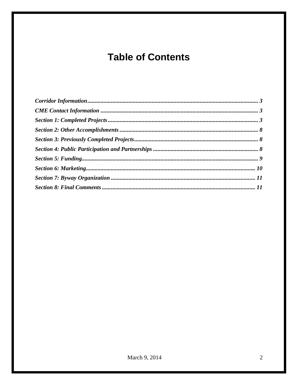## **Table of Contents**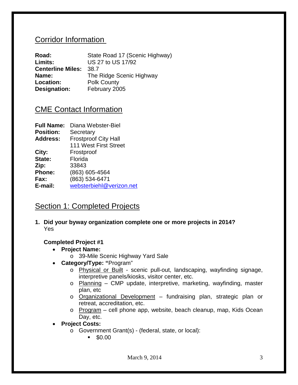## <span id="page-2-0"></span>Corridor Information

| Road:                    | State Road 17 (Scenic Highway) |
|--------------------------|--------------------------------|
| Limits:                  | US 27 to US 17/92              |
| <b>Centerline Miles:</b> | 38.7                           |
| Name:                    | The Ridge Scenic Highway       |
| Location:                | <b>Polk County</b>             |
| Designation:             | February 2005                  |

## <span id="page-2-1"></span>CME Contact Information

| Diana Webster-Biel          |
|-----------------------------|
| Secretary                   |
| <b>Frostproof City Hall</b> |
| 111 West First Street       |
| Frostproof                  |
| Florida                     |
| 33843                       |
| (863) 605-4564              |
| (863) 534-6471              |
| websterbiehl@verizon.net    |
|                             |

## <span id="page-2-2"></span>Section 1: Completed Projects

**1. Did your byway organization complete one or more projects in 2014?** Yes

### **Completed Project #1**

- **Project Name:** 
	- o 39-Mile Scenic Highway Yard Sale
- **Category/Type: "**Program"
	- o Physical or Built scenic pull-out, landscaping, wayfinding signage, interpretive panels/kiosks, visitor center, etc.
	- o Planning CMP update, interpretive, marketing, wayfinding, master plan, etc
	- o Organizational Development fundraising plan, strategic plan or retreat, accreditation, etc.
	- o Program cell phone app, website, beach cleanup, map, Kids Ocean Day, etc.
- **Project Costs:** 
	- o Government Grant(s) (federal, state, or local):
		- $\bullet$  \$0.00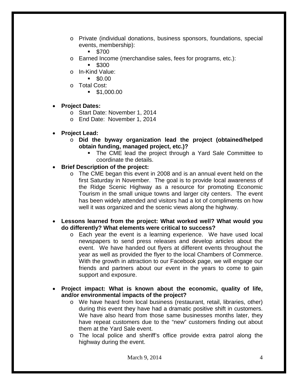- o Private (individual donations, business sponsors, foundations, special events, membership):
	- $-$  \$700
- o Earned Income (merchandise sales, fees for programs, etc.):
	- $$300$
- $\circ$  In-Kind Value:<br> $\bullet$  \$0.00
	- \$0.00
- o Total Cost:
	- $\blacksquare$  \$1,000.00

#### • **Project Dates:**

- o Start Date: November 1, 2014
- o End Date: November 1, 2014
- **Project Lead:** 
	- o **Did the byway organization lead the project (obtained/helped obtain funding, managed project, etc.)?**
		- The CME lead the project through a Yard Sale Committee to coordinate the details.

#### • **Brief Description of the project:**

- o The CME began this event in 2008 and is an annual event held on the first Saturday in November. The goal is to provide local awareness of the Ridge Scenic Highway as a resource for promoting Economic Tourism in the small unique towns and larger city centers. The event has been widely attended and visitors had a lot of compliments on how well it was organized and the scenic views along the highway.
- **Lessons learned from the project: What worked well? What would you do differently? What elements were critical to success?**
	- o Each year the event is a learning experience. We have used local newspapers to send press releases and develop articles about the event. We have handed out flyers at different events throughout the year as well as provided the flyer to the local Chambers of Commerce. With the growth in attraction to our Facebook page, we will engage our friends and partners about our event in the years to come to gain support and exposure.
- **Project impact: What is known about the economic, quality of life, and/or environmental impacts of the project?**
	- o We have heard from local business (restaurant, retail, libraries, other) during this event they have had a dramatic positive shift in customers. We have also heard from those same businesses months later, they have repeat customers due to the "new" customers finding out about them at the Yard Sale event.
	- o The local police and sheriff's office provide extra patrol along the highway during the event.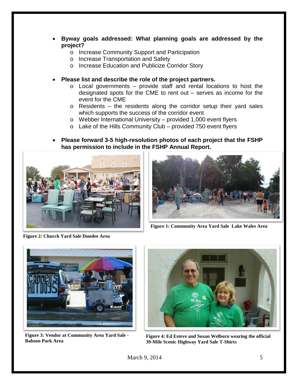- **Byway goals addressed: What planning goals are addressed by the project?**
	- o Increase Community Support and Participation
	- o Increase Transportation and Safety
	- o Increase Education and Publicize Corridor Story
- **Please list and describe the role of the project partners.**
	- $\circ$  Local governments provide staff and rental locations to host the designated spots for the CME to rent out – serves as income for the event for the CME
	- $\circ$  Residents the residents along the corridor setup their yard sales which supports the success of the corridor event
	- o Webber International University provided 1,000 event flyers
	- $\circ$  Lake of the Hills Community Club provided 750 event flyers
- **Please forward 3-5 high-resolution photos of each project that the FSHP has permission to include in the FSHP Annual Report.**



**Figure 2: Church Yard Sale Dundee Area**



**Figure 1: Community Area Yard Sale Lake Wales Area**



**Figure 3: Vendor at Community Area Yard Sale - Babson Park Area**



**Figure 4: Ed Esteve and Susan Welborn wearing the official 39-Mile Scenic Highway Yard Sale T-Shirts**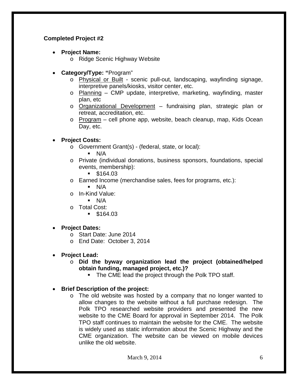### **Completed Project #2**

- **Project Name:** 
	- o Ridge Scenic Highway Website
- **Category/Type: "**Program"
	- o Physical or Built scenic pull-out, landscaping, wayfinding signage, interpretive panels/kiosks, visitor center, etc.
	- $\circ$  Planning CMP update, interpretive, marketing, wayfinding, master plan, etc
	- o Organizational Development fundraising plan, strategic plan or retreat, accreditation, etc.
	- $\circ$  Program cell phone app, website, beach cleanup, map, Kids Ocean Day, etc.

### • **Project Costs:**

- o Government Grant(s) (federal, state, or local):
	- $\blacksquare$  N/A
- o Private (individual donations, business sponsors, foundations, special events, membership):
	- $\blacksquare$  \$164.03
- o Earned Income (merchandise sales, fees for programs, etc.):
	- $\blacksquare$  N/A
- o In-Kind Value:
	- $\blacksquare$  N/A
- o Total Cost:
	- $$164.03$

### • **Project Dates:**

- o Start Date: June 2014
- o End Date: October 3, 2014
- **Project Lead:** 
	- o **Did the byway organization lead the project (obtained/helped obtain funding, managed project, etc.)?**
		- **The CME lead the project through the Polk TPO staff.**
- **Brief Description of the project:**
	- o The old website was hosted by a company that no longer wanted to allow changes to the website without a full purchase redesign. The Polk TPO researched website providers and presented the new website to the CME Board for approval in September 2014. The Polk TPO staff continues to maintain the website for the CME. The website is widely used as static information about the Scenic Highway and the CME organization. The website can be viewed on mobile devices unlike the old website.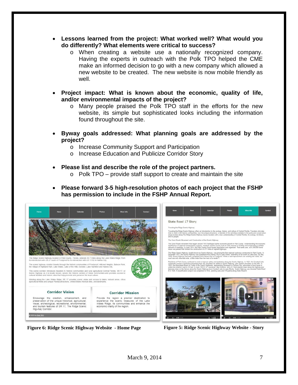- **Lessons learned from the project: What worked well? What would you do differently? What elements were critical to success?**
	- o When creating a website use a nationally recognized company. Having the experts in outreach with the Polk TPO helped the CME make an informed decision to go with a new company which allowed a new website to be created. The new website is now mobile friendly as well.
- **Project impact: What is known about the economic, quality of life, and/or environmental impacts of the project?**
	- o Many people praised the Polk TPO staff in the efforts for the new website, its simple but sophisticated looks including the information found throughout the site.
- **Byway goals addressed: What planning goals are addressed by the project?**
	- o Increase Community Support and Participation
	- o Increase Education and Publicize Corridor Story
- **Please list and describe the role of the project partners.**
	- $\circ$  Polk TPO provide staff support to create and maintain the site
- **Please forward 3-5 high-resolution photos of each project that the FSHP has permission to include in the FSHP Annual Report.**



**Figure 6: Ridge Scenic Highway Website - Home Page Figure 5: Ridge Scenic Highway Website - Story**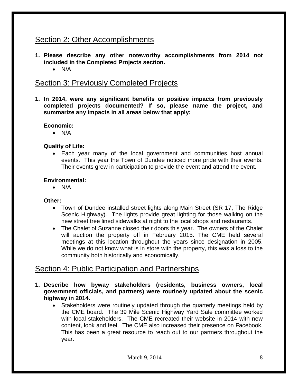## <span id="page-7-0"></span>Section 2: Other Accomplishments

- **1. Please describe any other noteworthy accomplishments from 2014 not included in the Completed Projects section.**
	- N/A

## <span id="page-7-1"></span>Section 3: Previously Completed Projects

**1. In 2014, were any significant benefits or positive impacts from previously completed projects documented? If so, please name the project, and summarize any impacts in all areas below that apply:**

### **Economic:**

• N/A

### **Quality of Life:**

• Each year many of the local government and communities host annual events. This year the Town of Dundee noticed more pride with their events. Their events grew in participation to provide the event and attend the event.

#### **Environmental:**

• N/A

#### **Other:**

- Town of Dundee installed street lights along Main Street (SR 17, The Ridge Scenic Highway). The lights provide great lighting for those walking on the new street tree lined sidewalks at night to the local shops and restaurants.
- The Chalet of Suzanne closed their doors this year. The owners of the Chalet will auction the property off in February 2015. The CME held several meetings at this location throughout the years since designation in 2005. While we do not know what is in store with the property, this was a loss to the community both historically and economically.

## <span id="page-7-2"></span>Section 4: Public Participation and Partnerships

- **1. Describe how byway stakeholders (residents, business owners, local government officials, and partners) were routinely updated about the scenic highway in 2014.**
	- Stakeholders were routinely updated through the quarterly meetings held by the CME board. The 39 Mile Scenic Highway Yard Sale committee worked with local stakeholders. The CME recreated their website in 2014 with new content, look and feel. The CME also increased their presence on Facebook. This has been a great resource to reach out to our partners throughout the year.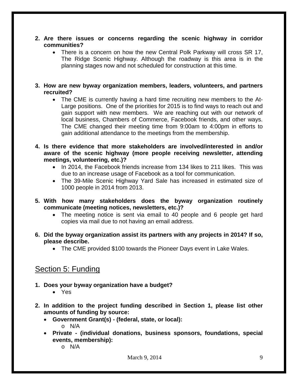- **2. Are there issues or concerns regarding the scenic highway in corridor communities?**
	- There is a concern on how the new Central Polk Parkway will cross SR 17, The Ridge Scenic Highway. Although the roadway is this area is in the planning stages now and not scheduled for construction at this time.
- **3. How are new byway organization members, leaders, volunteers, and partners recruited?**
	- The CME is currently having a hard time recruiting new members to the At-Large positions. One of the priorities for 2015 is to find ways to reach out and gain support with new members. We are reaching out with our network of local business, Chambers of Commerce, Facebook friends, and other ways. The CME changed their meeting time from 9:00am to 4:00pm in efforts to gain additional attendance to the meetings from the membership.
- **4. Is there evidence that more stakeholders are involved/interested in and/or aware of the scenic highway (more people receiving newsletter, attending meetings, volunteering, etc.)?**
	- In 2014, the Facebook friends increase from 134 likes to 211 likes. This was due to an increase usage of Facebook as a tool for communication.
	- The 39-Mile Scenic Highway Yard Sale has increased in estimated size of 1000 people in 2014 from 2013.
- **5. With how many stakeholders does the byway organization routinely communicate (meeting notices, newsletters, etc.)?**
	- The meeting notice is sent via email to 40 people and 6 people get hard copies via mail due to not having an email address.
- **6. Did the byway organization assist its partners with any projects in 2014? If so, please describe.**
	- The CME provided \$100 towards the Pioneer Days event in Lake Wales.

## <span id="page-8-0"></span>Section 5: Funding

- **1. Does your byway organization have a budget?**
	- Yes
- **2. In addition to the project funding described in Section 1, please list other amounts of funding by source:**
	- **Government Grant(s) - (federal, state, or local):**  o N/A
	- **Private - (individual donations, business sponsors, foundations, special events, membership):** 
		- o N/A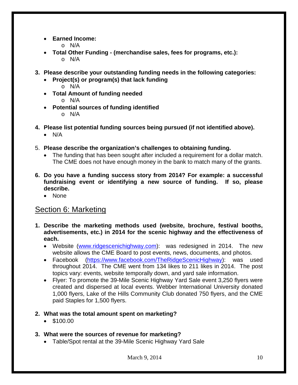• **Earned Income:**

o N/A

- **Total Other Funding - (merchandise sales, fees for programs, etc.):** o N/A
- **3. Please describe your outstanding funding needs in the following categories:**
	- **Project(s) or program(s) that lack funding** o N/A
	- **Total Amount of funding needed**
		- o N/A
	- **Potential sources of funding identified**
		- o N/A
- **4. Please list potential funding sources being pursued (if not identified above).**
	- N/A
- 5. **Please describe the organization's challenges to obtaining funding.**
	- The funding that has been sought after included a requirement for a dollar match. The CME does not have enough money in the bank to match many of the grants.
- **6. Do you have a funding success story from 2014? For example: a successful fundraising event or identifying a new source of funding. If so, please describe.**
	- None

## <span id="page-9-0"></span>Section 6: Marketing

- **1. Describe the marketing methods used (website, brochure, festival booths, advertisements, etc.) in 2014 for the scenic highway and the effectiveness of each.**
	- Website [\(www.ridgescenichighway.com\)](http://www.ridgescenichighway.com/): was redesigned in 2014. The new website allows the CME Board to post events, news, documents, and photos.
	- Facebook [\(https://www.facebook.com/TheRidgeScenicHighway\)](https://www.facebook.com/TheRidgeScenicHighway): was used throughout 2014. The CME went from 134 likes to 211 likes in 2014. The post topics vary: events, website temporally down, and yard sale information.
	- Flyer: To promote the 39-Mile Scenic Highway Yard Sale event 3,250 flyers were created and dispersed at local events. Webber International University donated 1,000 flyers, Lake of the Hills Community Club donated 750 flyers, and the CME paid Staples for 1,500 flyers.

#### **2. What was the total amount spent on marketing?**

- \$100.00
- **3. What were the sources of revenue for marketing?**
	- Table/Spot rental at the 39-Mile Scenic Highway Yard Sale